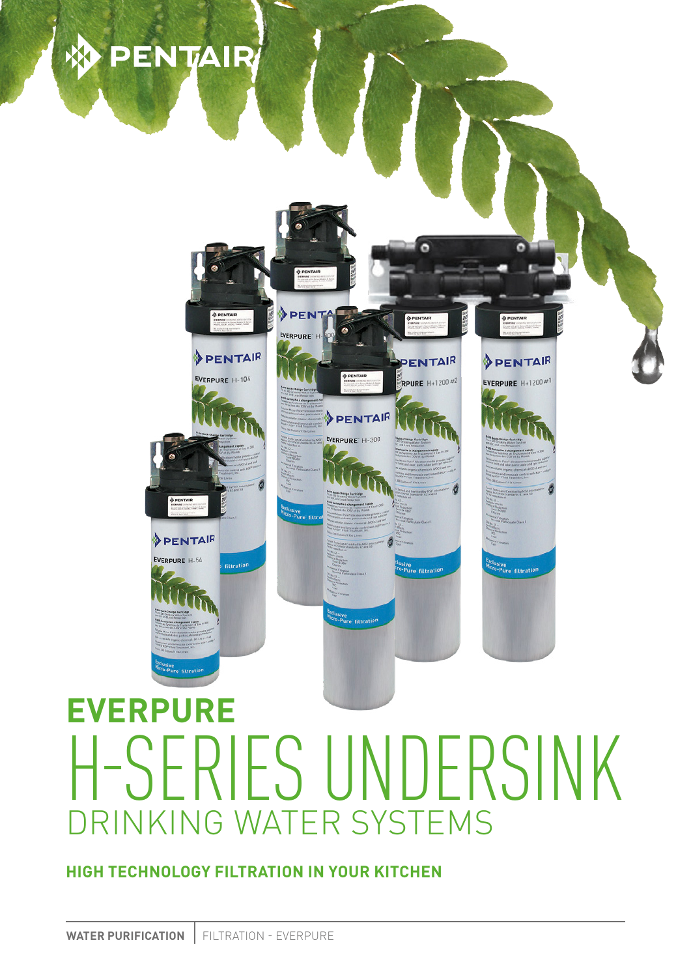# **DENTAIR**

**EXERCISE** 

PENTAIR

EVERPURE H-104

**filtration** 

PENTAIR EVERPURE H-54

**PFN** 

PENTAIR EVERPURE' H-300



<sup>lu</sup>sive<br><sup>10-Pure</sup> filtrati<sup>o</sup>

б

PENTAIR

**RPURE** H+1200 #2

ive<br>Pure filtratio<mark>r</mark>

PENTAIR

EVERPURE  $H+1200$ #1

e filtratio

**HIGH TECHNOLOGY FILTRATION IN YOUR KITCHEN**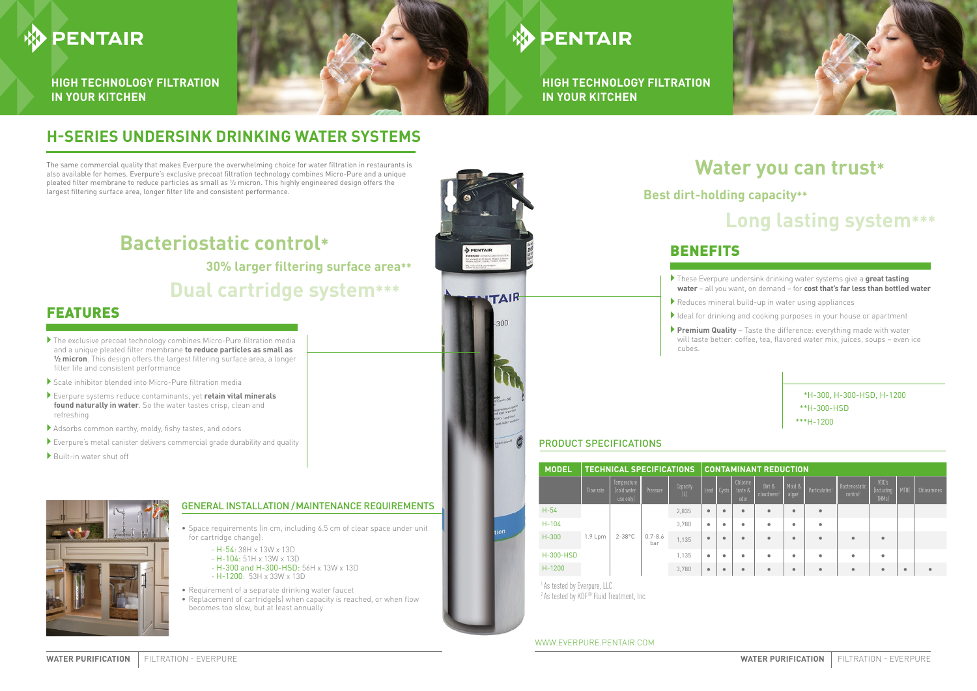# **H-SERIES UNDERSINK DRINKING WATER SYSTEMS**

- Space requirements (in cm, including 6.5 cm of clear space under unit for cartridge change):
	- H-54: 38H x 13W x 13D
	- H-104: 51H x 13W x 13D
	- H-300 and H-300-HSD: 56H x 13W x 13D - H-1200: 53H x 33W x 13D
- Requirement of a separate drinking water faucet
- Replacement of cartridge(s) when capacity is reached, or when flow becomes too slow, but at least annually



` These Everpure undersink drinking water systems give a **great tasting water** – all you want, on demand – for **cost that's far less than bottled water**

` Reduces mineral build-up in water using appliances

I Ideal for drinking and cooking purposes in your house or apartment

` **Premium Quality** – Taste the difference: everything made with water will taste better: coffee, tea, flavored water mix, juices, soups – even ice

# cubes.

# FEATURES

- $\blacktriangleright$  The exclusive precoat technology combines Micro-Pure filtration media and a unique pleated filter membrane **to reduce particles as small as ½ micron**. This design offers the largest filtering surface area, a longer filter life and consistent performance
- ` Scale inhibitor blended into Micro-Pure filtration media
- ` Everpure systems reduce contaminants, yet **retain vital minerals found naturally in water**. So the water tastes crisp, clean and refreshing
- ` Adsorbs common earthy, moldy, fishy tastes, and odors
- $\blacktriangleright$  Everpure's metal canister delivers commercial grade durability and quality
- $\blacktriangleright$  Built-in water shut off



## PRODUCT SPECIFICATIONS

### GENERAL INSTALLATION /MAINTENANCE REQUIREMENTS

The same commercial quality that makes Everpure the overwhelming choice for water filtration in restaurants is also available for homes. Everpure's exclusive precoat filtration technology combines Micro-Pure and a unique pleated filter membrane to reduce particles as small as ½ micron. This highly engineered design offers the largest filtering surface area, longer filter life and consistent performance.

# **PENTAIR**

**HIGH TECHNOLOGY FILTRATION IN YOUR KITCHEN**



# **DENTAIR**

**HIGH TECHNOLOGY FILTRATION IN YOUR KITCHEN**

### WWW.EVERPURE.PENTAIR.COM



# **Dual cartridge system\*\*\***

# **Bacteriostatic control\* 30% larger filtering surface area\*\***

# **Water you can trust\* Long lasting system\*\*\* Best dirt-holding capacity\*\***

# **BENEFITS**

- 
- 
- 

| <b>MODEL</b>     | <b>TECHNICAL SPECIFICATIONS</b> |                                         |                    |                 | <b>CONTAMINANT REDUCTION</b> |                   |                             |                                   |                              |                           |                                        |                                         |             |             |
|------------------|---------------------------------|-----------------------------------------|--------------------|-----------------|------------------------------|-------------------|-----------------------------|-----------------------------------|------------------------------|---------------------------|----------------------------------------|-----------------------------------------|-------------|-------------|
|                  | Flow rate                       | Temperature<br>(cold water<br>use only) | Pressure           | Capacity<br>(L) | Lead                         | $\mathsf{C}$ ysts | Chlorine<br>taste &<br>odor | Dirt &<br>cloudiness <sup>1</sup> | Mold &<br>algae <sup>1</sup> | Particulates <sup>1</sup> | Bacteriostatic<br>control <sup>2</sup> | VOC's<br>(including<br>THM <sub>s</sub> | <b>MTBE</b> | Chloramines |
| $H-54$           | 1.9 Lpm                         | $2 - 38^{\circ}$ C                      | $0.7 - 8.6$<br>bar | 2,835           | $\bullet$                    | $\bullet$         | $\bullet$                   | $\bullet$                         | ٠                            | $\bullet$                 |                                        |                                         |             |             |
| $H - 104$        |                                 |                                         |                    | 3.780           | ٠                            | ٠                 | ٠                           | $\bullet$                         | ٠                            | $\bullet$                 |                                        |                                         |             |             |
| $H-300$          |                                 |                                         |                    | 1,135           | ۰                            | $\bullet$         | $\bullet$                   | $\bullet$                         | ٠                            | ٠                         | ٠                                      | $\bullet$                               |             |             |
| <b>H-300-HSD</b> |                                 |                                         |                    | 1,135           | ٠                            | $\bullet$         | ٠                           | $\bullet$                         | ٠                            | ۰                         | ٠                                      | ۰                                       |             |             |
| $H - 1200$       |                                 |                                         |                    | 3.780           | ٠                            | $\bullet$         | $\bullet$                   | $\bullet$                         | ٠                            | $\bullet$                 | ٠                                      | $\bullet$                               | ٠           |             |

<sup>1</sup> As tested by Everpure, LLC <sup>2</sup> As tested by KDF® Fluid Treatment, Inc.

### \*H-300, H-300-HSD, H-1200 \*\*H-300-HSD \*\*\*H-1200